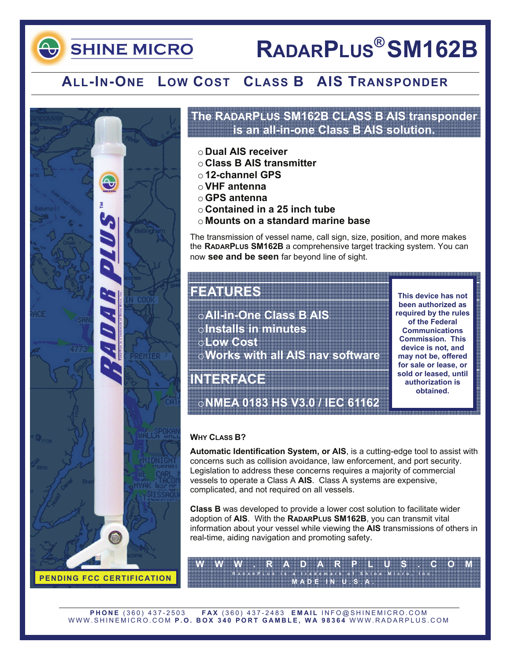## **SHINE MICRO**

# **RADARPLUS® SM162B**

### **ALL-IN-ONE LOW COST CLASS B AIS TRANSPONDER**



### **The RADARPLUS SM162B CLASS B AIS transponder is an all-in-one Class B AIS solution.**

- o **Dual AIS receiver**
- o **Class B AIS transmitter**
- o **12-channel GPS**
- o**VHF antenna**
- o**GPS antenna**
- o **Contained in a 25 inch tube**
- o **Mounts on a standard marine base**

The transmission of vessel name, call sign, size, position, and more makes the **RADARPLUS SM162B** a comprehensive target tracking system. You can now **see and be seen** far beyond line of sight.

### **FEATURES**

o**All-in-One Class B AIS**  o**Installs in minutes**  o**Low Cost**  o**Works with all AIS nav software** 

**This device has not been authorized as required by the rules of the Federal Communications Commission. This device is not, and may not be, offered for sale or lease, or sold or leased, until authorization is obtained.** 

**INTERFACE** 

o**NMEA 0183 HS V3.0 / IEC 61162** 

### **WHY CLASS B?**

**Automatic Identification System, or AIS**, is a cutting-edge tool to assist with concerns such as collision avoidance, law enforcement, and port security. Legislation to address these concerns requires a majority of commercial vessels to operate a Class A **AIS**. Class A systems are expensive, complicated, and not required on all vessels.

**Class B** was developed to provide a lower cost solution to facilitate wider adoption of **AIS**. With the **RADARPLUS SM162B**, you can transmit vital information about your vessel while viewing the **AIS** transmissions of others in real-time, aiding navigation and promoting safety.

**W W W . R A D A R P L U S . C O M R ADAR <sup>P</sup> LUS is a trademark of Shine Micro, Inc. MADE IN U.S.A.** 

**PHONE** (360) 437-2503 **FAX** (360) 437-2483 **EMAIL** INFO@SHINEMICRO.COM WWW.SHINEMICRO.COM **P.O. BOX 340 PORT GAMBLE, WA 98364** WWW.RADARPLUS.COM